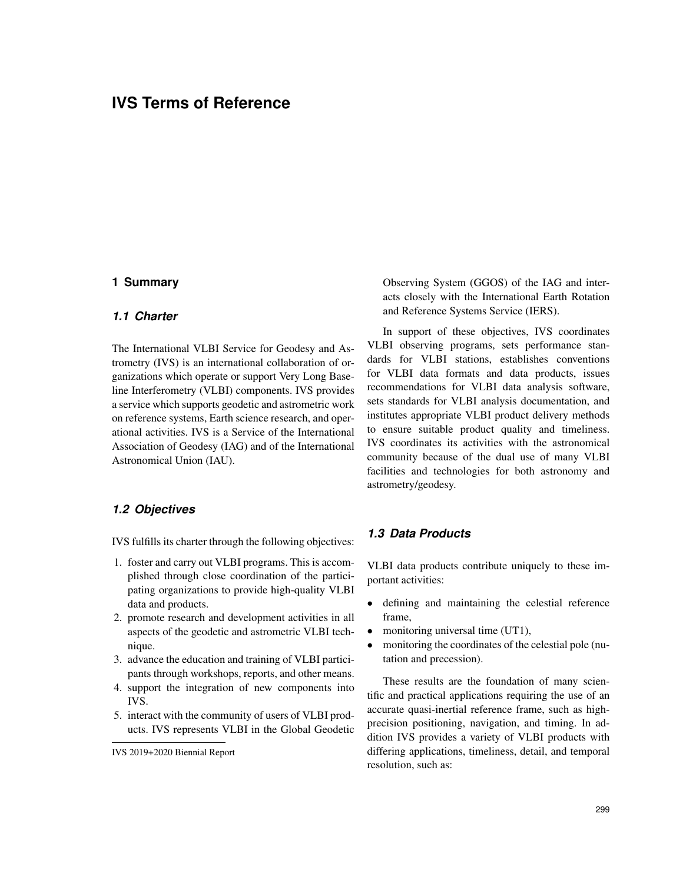# **IVS Terms of Reference**

## **1 Summary**

#### *1.1 Charter*

The International VLBI Service for Geodesy and Astrometry (IVS) is an international collaboration of organizations which operate or support Very Long Baseline Interferometry (VLBI) components. IVS provides a service which supports geodetic and astrometric work on reference systems, Earth science research, and operational activities. IVS is a Service of the International Association of Geodesy (IAG) and of the International Astronomical Union (IAU).

#### *1.2 Objectives*

IVS fulfills its charter through the following objectives:

- 1. foster and carry out VLBI programs. This is accomplished through close coordination of the participating organizations to provide high-quality VLBI data and products.
- 2. promote research and development activities in all aspects of the geodetic and astrometric VLBI technique.
- 3. advance the education and training of VLBI participants through workshops, reports, and other means.
- 4. support the integration of new components into IVS.
- 5. interact with the community of users of VLBI products. IVS represents VLBI in the Global Geodetic

Observing System (GGOS) of the IAG and interacts closely with the International Earth Rotation and Reference Systems Service (IERS).

In support of these objectives, IVS coordinates VLBI observing programs, sets performance standards for VLBI stations, establishes conventions for VLBI data formats and data products, issues recommendations for VLBI data analysis software, sets standards for VLBI analysis documentation, and institutes appropriate VLBI product delivery methods to ensure suitable product quality and timeliness. IVS coordinates its activities with the astronomical community because of the dual use of many VLBI facilities and technologies for both astronomy and astrometry/geodesy.

## *1.3 Data Products*

VLBI data products contribute uniquely to these important activities:

- defining and maintaining the celestial reference frame,
- monitoring universal time (UT1),
- monitoring the coordinates of the celestial pole (nutation and precession).

These results are the foundation of many scientific and practical applications requiring the use of an accurate quasi-inertial reference frame, such as highprecision positioning, navigation, and timing. In addition IVS provides a variety of VLBI products with differing applications, timeliness, detail, and temporal resolution, such as:

IVS 2019+2020 Biennial Report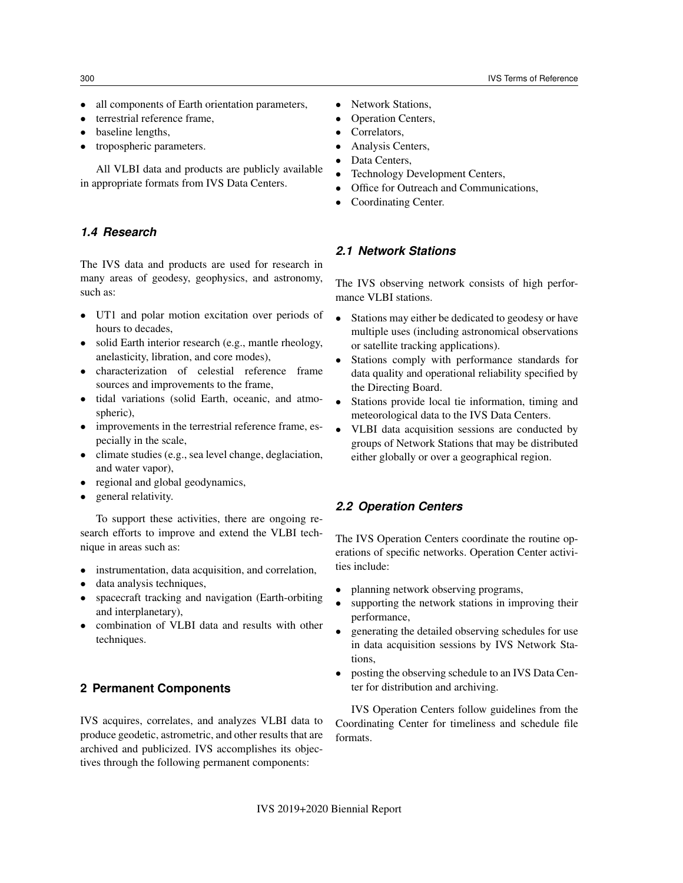- all components of Earth orientation parameters,
- terrestrial reference frame.
- baseline lengths,
- tropospheric parameters.

All VLBI data and products are publicly available in appropriate formats from IVS Data Centers.

#### *1.4 Research*

The IVS data and products are used for research in many areas of geodesy, geophysics, and astronomy, such as:

- UT1 and polar motion excitation over periods of hours to decades,
- solid Earth interior research (e.g., mantle rheology, anelasticity, libration, and core modes),
- characterization of celestial reference frame sources and improvements to the frame,
- tidal variations (solid Earth, oceanic, and atmospheric),
- improvements in the terrestrial reference frame, especially in the scale,
- climate studies (e.g., sea level change, deglaciation, and water vapor),
- regional and global geodynamics,
- general relativity.

To support these activities, there are ongoing research efforts to improve and extend the VLBI technique in areas such as:

- instrumentation, data acquisition, and correlation,
- data analysis techniques,
- spacecraft tracking and navigation (Earth-orbiting and interplanetary),
- combination of VLBI data and results with other techniques.

## **2 Permanent Components**

IVS acquires, correlates, and analyzes VLBI data to produce geodetic, astrometric, and other results that are archived and publicized. IVS accomplishes its objectives through the following permanent components:

- Network Stations,
- Operation Centers,
- Correlators,
- Analysis Centers,
- Data Centers,
- Technology Development Centers,
- Office for Outreach and Communications,
- Coordinating Center.

#### *2.1 Network Stations*

The IVS observing network consists of high performance VLBI stations.

- Stations may either be dedicated to geodesy or have multiple uses (including astronomical observations or satellite tracking applications).
- Stations comply with performance standards for data quality and operational reliability specified by the Directing Board.
- Stations provide local tie information, timing and meteorological data to the IVS Data Centers.
- VLBI data acquisition sessions are conducted by groups of Network Stations that may be distributed either globally or over a geographical region.

#### *2.2 Operation Centers*

The IVS Operation Centers coordinate the routine operations of specific networks. Operation Center activities include:

- planning network observing programs,
- supporting the network stations in improving their performance,
- generating the detailed observing schedules for use in data acquisition sessions by IVS Network Stations,
- posting the observing schedule to an IVS Data Center for distribution and archiving.

IVS Operation Centers follow guidelines from the Coordinating Center for timeliness and schedule file formats.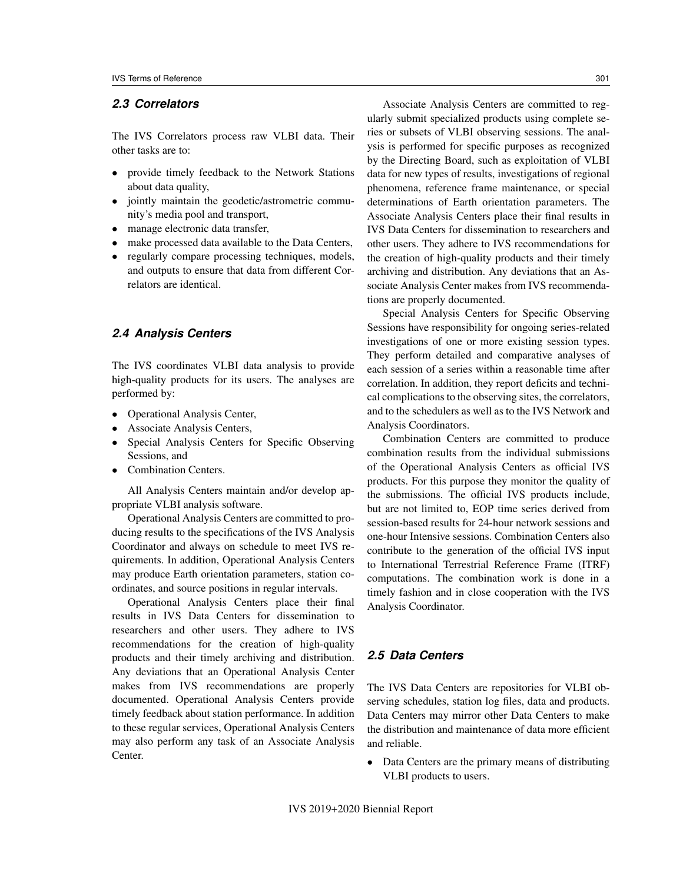## *2.3 Correlators*

The IVS Correlators process raw VLBI data. Their other tasks are to:

- provide timely feedback to the Network Stations about data quality,
- jointly maintain the geodetic/astrometric community's media pool and transport,
- manage electronic data transfer,
- make processed data available to the Data Centers,
- regularly compare processing techniques, models, and outputs to ensure that data from different Correlators are identical.

#### *2.4 Analysis Centers*

The IVS coordinates VLBI data analysis to provide high-quality products for its users. The analyses are performed by:

- Operational Analysis Center,
- Associate Analysis Centers,
- Special Analysis Centers for Specific Observing Sessions, and
- Combination Centers.

All Analysis Centers maintain and/or develop appropriate VLBI analysis software.

Operational Analysis Centers are committed to producing results to the specifications of the IVS Analysis Coordinator and always on schedule to meet IVS requirements. In addition, Operational Analysis Centers may produce Earth orientation parameters, station coordinates, and source positions in regular intervals.

Operational Analysis Centers place their final results in IVS Data Centers for dissemination to researchers and other users. They adhere to IVS recommendations for the creation of high-quality products and their timely archiving and distribution. Any deviations that an Operational Analysis Center makes from IVS recommendations are properly documented. Operational Analysis Centers provide timely feedback about station performance. In addition to these regular services, Operational Analysis Centers may also perform any task of an Associate Analysis Center.

Associate Analysis Centers are committed to regularly submit specialized products using complete series or subsets of VLBI observing sessions. The analysis is performed for specific purposes as recognized by the Directing Board, such as exploitation of VLBI data for new types of results, investigations of regional phenomena, reference frame maintenance, or special determinations of Earth orientation parameters. The Associate Analysis Centers place their final results in IVS Data Centers for dissemination to researchers and other users. They adhere to IVS recommendations for the creation of high-quality products and their timely archiving and distribution. Any deviations that an Associate Analysis Center makes from IVS recommendations are properly documented.

Special Analysis Centers for Specific Observing Sessions have responsibility for ongoing series-related investigations of one or more existing session types. They perform detailed and comparative analyses of each session of a series within a reasonable time after correlation. In addition, they report deficits and technical complications to the observing sites, the correlators, and to the schedulers as well as to the IVS Network and Analysis Coordinators.

Combination Centers are committed to produce combination results from the individual submissions of the Operational Analysis Centers as official IVS products. For this purpose they monitor the quality of the submissions. The official IVS products include, but are not limited to, EOP time series derived from session-based results for 24-hour network sessions and one-hour Intensive sessions. Combination Centers also contribute to the generation of the official IVS input to International Terrestrial Reference Frame (ITRF) computations. The combination work is done in a timely fashion and in close cooperation with the IVS Analysis Coordinator.

## *2.5 Data Centers*

The IVS Data Centers are repositories for VLBI observing schedules, station log files, data and products. Data Centers may mirror other Data Centers to make the distribution and maintenance of data more efficient and reliable.

• Data Centers are the primary means of distributing VLBI products to users.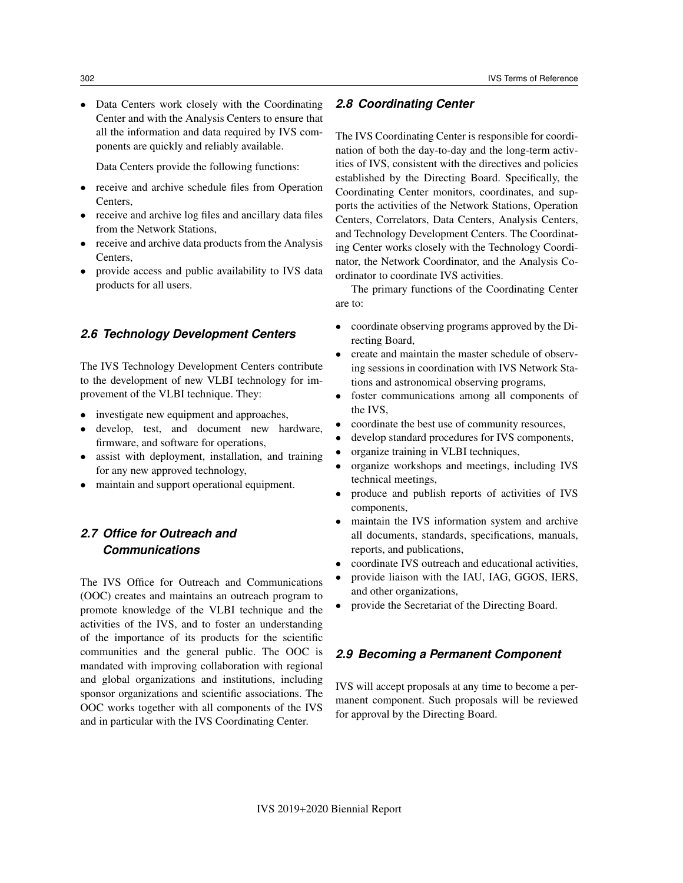• Data Centers work closely with the Coordinating Center and with the Analysis Centers to ensure that all the information and data required by IVS components are quickly and reliably available.

Data Centers provide the following functions:

- receive and archive schedule files from Operation Centers,
- receive and archive log files and ancillary data files from the Network Stations,
- receive and archive data products from the Analysis Centers,
- provide access and public availability to IVS data products for all users.

#### *2.6 Technology Development Centers*

The IVS Technology Development Centers contribute to the development of new VLBI technology for improvement of the VLBI technique. They:

- investigate new equipment and approaches,
- develop, test, and document new hardware, firmware, and software for operations,
- assist with deployment, installation, and training for any new approved technology,
- maintain and support operational equipment.

## *2.7 Office for Outreach and Communications*

The IVS Office for Outreach and Communications (OOC) creates and maintains an outreach program to promote knowledge of the VLBI technique and the activities of the IVS, and to foster an understanding of the importance of its products for the scientific communities and the general public. The OOC is mandated with improving collaboration with regional and global organizations and institutions, including sponsor organizations and scientific associations. The OOC works together with all components of the IVS and in particular with the IVS Coordinating Center.

## *2.8 Coordinating Center*

The IVS Coordinating Center is responsible for coordination of both the day-to-day and the long-term activities of IVS, consistent with the directives and policies established by the Directing Board. Specifically, the Coordinating Center monitors, coordinates, and supports the activities of the Network Stations, Operation Centers, Correlators, Data Centers, Analysis Centers, and Technology Development Centers. The Coordinating Center works closely with the Technology Coordinator, the Network Coordinator, and the Analysis Coordinator to coordinate IVS activities.

The primary functions of the Coordinating Center are to:

- coordinate observing programs approved by the Directing Board,
- create and maintain the master schedule of observing sessions in coordination with IVS Network Stations and astronomical observing programs,
- foster communications among all components of the IVS,
- coordinate the best use of community resources,
- develop standard procedures for IVS components,
- organize training in VLBI techniques,
- organize workshops and meetings, including IVS technical meetings,
- produce and publish reports of activities of IVS components,
- maintain the IVS information system and archive all documents, standards, specifications, manuals, reports, and publications,
- coordinate IVS outreach and educational activities,
- provide liaison with the IAU, IAG, GGOS, IERS, and other organizations,
- provide the Secretariat of the Directing Board.

## *2.9 Becoming a Permanent Component*

IVS will accept proposals at any time to become a permanent component. Such proposals will be reviewed for approval by the Directing Board.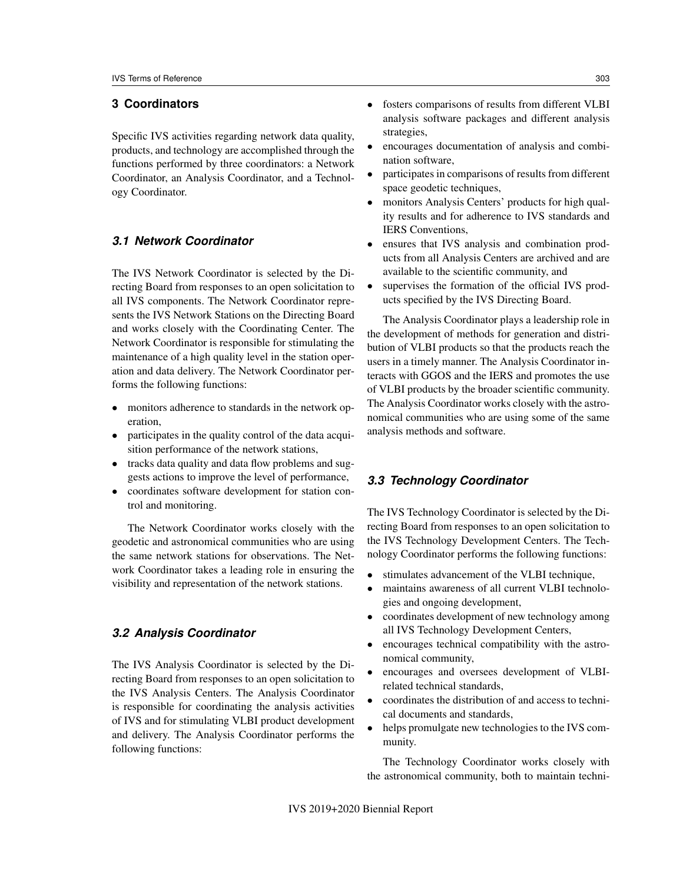## **3 Coordinators**

Specific IVS activities regarding network data quality, products, and technology are accomplished through the functions performed by three coordinators: a Network Coordinator, an Analysis Coordinator, and a Technology Coordinator.

### *3.1 Network Coordinator*

The IVS Network Coordinator is selected by the Directing Board from responses to an open solicitation to all IVS components. The Network Coordinator represents the IVS Network Stations on the Directing Board and works closely with the Coordinating Center. The Network Coordinator is responsible for stimulating the maintenance of a high quality level in the station operation and data delivery. The Network Coordinator performs the following functions:

- monitors adherence to standards in the network operation,
- participates in the quality control of the data acquisition performance of the network stations,
- tracks data quality and data flow problems and suggests actions to improve the level of performance,
- coordinates software development for station control and monitoring.

The Network Coordinator works closely with the geodetic and astronomical communities who are using the same network stations for observations. The Network Coordinator takes a leading role in ensuring the visibility and representation of the network stations.

## *3.2 Analysis Coordinator*

The IVS Analysis Coordinator is selected by the Directing Board from responses to an open solicitation to the IVS Analysis Centers. The Analysis Coordinator is responsible for coordinating the analysis activities of IVS and for stimulating VLBI product development and delivery. The Analysis Coordinator performs the following functions:

• encourages documentation of analysis and combination software,

strategies,

- participates in comparisons of results from different space geodetic techniques,
- monitors Analysis Centers' products for high quality results and for adherence to IVS standards and IERS Conventions,
- ensures that IVS analysis and combination products from all Analysis Centers are archived and are available to the scientific community, and
- supervises the formation of the official IVS products specified by the IVS Directing Board.

The Analysis Coordinator plays a leadership role in the development of methods for generation and distribution of VLBI products so that the products reach the users in a timely manner. The Analysis Coordinator interacts with GGOS and the IERS and promotes the use of VLBI products by the broader scientific community. The Analysis Coordinator works closely with the astronomical communities who are using some of the same analysis methods and software.

## *3.3 Technology Coordinator*

The IVS Technology Coordinator is selected by the Directing Board from responses to an open solicitation to the IVS Technology Development Centers. The Technology Coordinator performs the following functions:

- stimulates advancement of the VLBI technique,
- maintains awareness of all current VLBI technologies and ongoing development,
- coordinates development of new technology among all IVS Technology Development Centers,
- encourages technical compatibility with the astronomical community,
- encourages and oversees development of VLBIrelated technical standards,
- coordinates the distribution of and access to technical documents and standards,
- helps promulgate new technologies to the IVS community.

The Technology Coordinator works closely with the astronomical community, both to maintain techni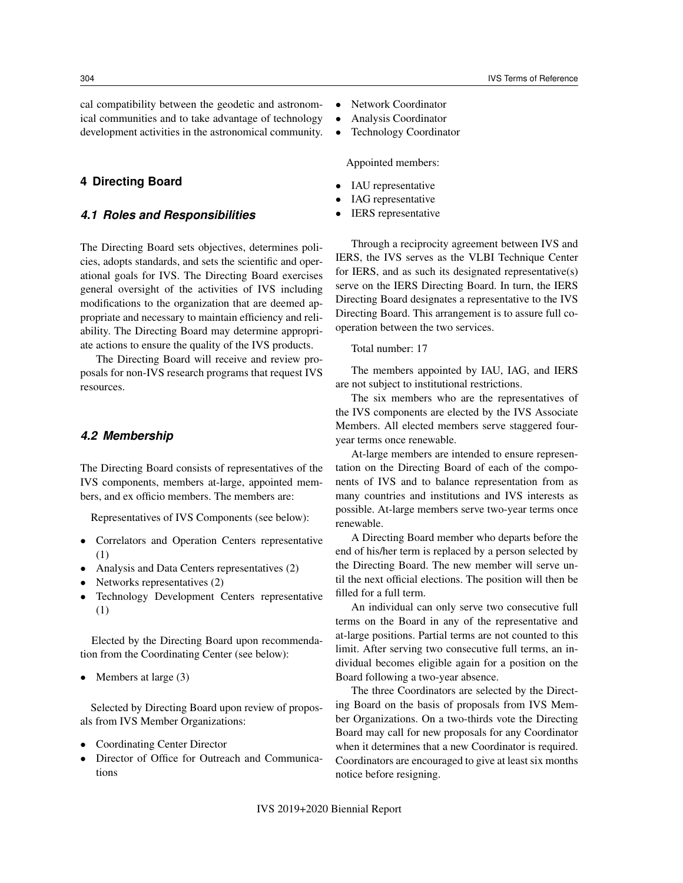cal compatibility between the geodetic and astronomical communities and to take advantage of technology development activities in the astronomical community.

#### **4 Directing Board**

#### *4.1 Roles and Responsibilities*

The Directing Board sets objectives, determines policies, adopts standards, and sets the scientific and operational goals for IVS. The Directing Board exercises general oversight of the activities of IVS including modifications to the organization that are deemed appropriate and necessary to maintain efficiency and reliability. The Directing Board may determine appropriate actions to ensure the quality of the IVS products.

The Directing Board will receive and review proposals for non-IVS research programs that request IVS resources.

#### *4.2 Membership*

The Directing Board consists of representatives of the IVS components, members at-large, appointed members, and ex officio members. The members are:

Representatives of IVS Components (see below):

- Correlators and Operation Centers representative (1)
- Analysis and Data Centers representatives (2)
- Networks representatives (2)
- Technology Development Centers representative (1)

Elected by the Directing Board upon recommendation from the Coordinating Center (see below):

• Members at large  $(3)$ 

Selected by Directing Board upon review of proposals from IVS Member Organizations:

- Coordinating Center Director
- Director of Office for Outreach and Communications
- Network Coordinator
- Analysis Coordinator
- Technology Coordinator

Appointed members:

- IAU representative
- IAG representative
- IERS representative

Through a reciprocity agreement between IVS and IERS, the IVS serves as the VLBI Technique Center for IERS, and as such its designated representative(s) serve on the IERS Directing Board. In turn, the IERS Directing Board designates a representative to the IVS Directing Board. This arrangement is to assure full cooperation between the two services.

Total number: 17

The members appointed by IAU, IAG, and IERS are not subject to institutional restrictions.

The six members who are the representatives of the IVS components are elected by the IVS Associate Members. All elected members serve staggered fouryear terms once renewable.

At-large members are intended to ensure representation on the Directing Board of each of the components of IVS and to balance representation from as many countries and institutions and IVS interests as possible. At-large members serve two-year terms once renewable.

A Directing Board member who departs before the end of his/her term is replaced by a person selected by the Directing Board. The new member will serve until the next official elections. The position will then be filled for a full term.

An individual can only serve two consecutive full terms on the Board in any of the representative and at-large positions. Partial terms are not counted to this limit. After serving two consecutive full terms, an individual becomes eligible again for a position on the Board following a two-year absence.

The three Coordinators are selected by the Directing Board on the basis of proposals from IVS Member Organizations. On a two-thirds vote the Directing Board may call for new proposals for any Coordinator when it determines that a new Coordinator is required. Coordinators are encouraged to give at least six months notice before resigning.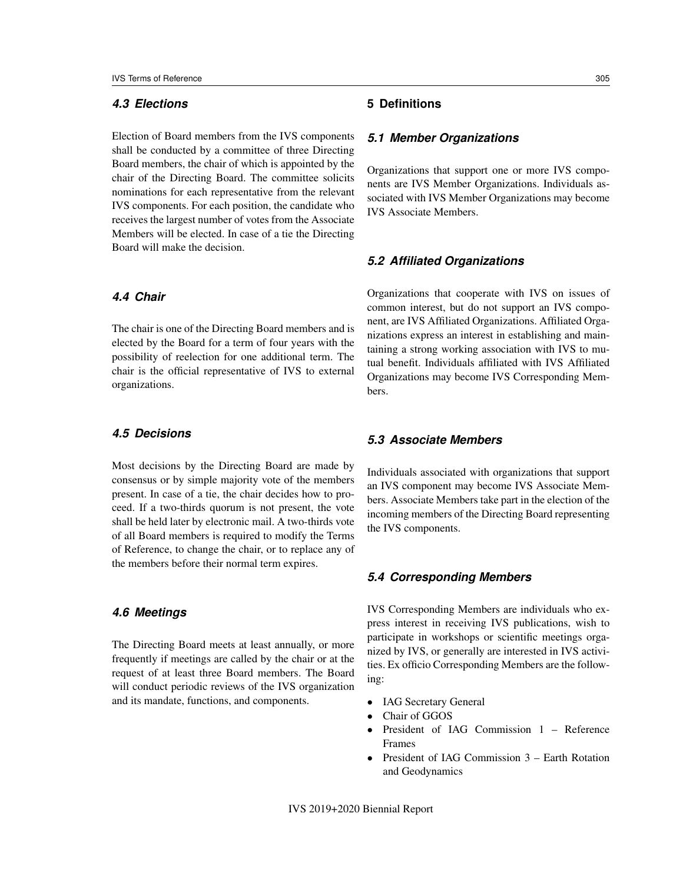## *4.3 Elections*

Election of Board members from the IVS components shall be conducted by a committee of three Directing Board members, the chair of which is appointed by the chair of the Directing Board. The committee solicits nominations for each representative from the relevant IVS components. For each position, the candidate who receives the largest number of votes from the Associate Members will be elected. In case of a tie the Directing Board will make the decision.

## *4.4 Chair*

The chair is one of the Directing Board members and is elected by the Board for a term of four years with the possibility of reelection for one additional term. The chair is the official representative of IVS to external organizations.

### *4.5 Decisions*

Most decisions by the Directing Board are made by consensus or by simple majority vote of the members present. In case of a tie, the chair decides how to proceed. If a two-thirds quorum is not present, the vote shall be held later by electronic mail. A two-thirds vote of all Board members is required to modify the Terms of Reference, to change the chair, or to replace any of the members before their normal term expires.

### *4.6 Meetings*

The Directing Board meets at least annually, or more frequently if meetings are called by the chair or at the request of at least three Board members. The Board will conduct periodic reviews of the IVS organization and its mandate, functions, and components.

### *5.1 Member Organizations*

Organizations that support one or more IVS components are IVS Member Organizations. Individuals associated with IVS Member Organizations may become IVS Associate Members.

#### *5.2 Affiliated Organizations*

Organizations that cooperate with IVS on issues of common interest, but do not support an IVS component, are IVS Affiliated Organizations. Affiliated Organizations express an interest in establishing and maintaining a strong working association with IVS to mutual benefit. Individuals affiliated with IVS Affiliated Organizations may become IVS Corresponding Members.

#### *5.3 Associate Members*

Individuals associated with organizations that support an IVS component may become IVS Associate Members. Associate Members take part in the election of the incoming members of the Directing Board representing the IVS components.

## *5.4 Corresponding Members*

IVS Corresponding Members are individuals who express interest in receiving IVS publications, wish to participate in workshops or scientific meetings organized by IVS, or generally are interested in IVS activities. Ex officio Corresponding Members are the following:

- IAG Secretary General
- Chair of GGOS
- President of IAG Commission 1 Reference Frames
- President of IAG Commission 3 Earth Rotation and Geodynamics